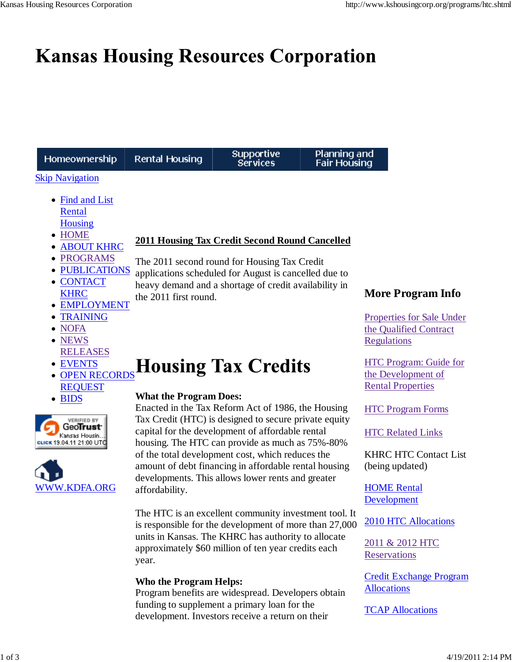# **Kansas Housing Resources Corporation**

| Homeownership                                                                                                               | Rental Housing                                              | <b>Supportive</b><br><b>Services</b>                                                                                                                                                                                    | Planning and<br><b>Fair Housing</b> |                                                                                                              |
|-----------------------------------------------------------------------------------------------------------------------------|-------------------------------------------------------------|-------------------------------------------------------------------------------------------------------------------------------------------------------------------------------------------------------------------------|-------------------------------------|--------------------------------------------------------------------------------------------------------------|
| <b>Skip Navigation</b><br>• Find and List<br>Rental                                                                         |                                                             |                                                                                                                                                                                                                         |                                     |                                                                                                              |
| <b>Housing</b><br><b>HOME</b><br>$\bullet$<br><b>ABOUT KHRC</b><br><b>PROGRAMS</b><br><b>PUBLICATIONS</b><br><b>CONTACT</b> |                                                             | <b>2011 Housing Tax Credit Second Round Cancelled</b><br>The 2011 second round for Housing Tax Credit<br>applications scheduled for August is cancelled due to<br>heavy demand and a shortage of credit availability in |                                     |                                                                                                              |
| <b>KHRC</b><br><b>EMPLOYMENT</b><br><b>TRAINING</b><br>٠<br><b>NOFA</b><br><b>NEWS</b>                                      | the 2011 first round.                                       |                                                                                                                                                                                                                         |                                     | <b>More Program Info</b><br><b>Properties for Sale Under</b><br>the Qualified Contract<br><b>Regulations</b> |
| <b>RELEASES</b><br><b>EVENTS</b><br>$\bullet$<br><b>OPEN RECORDS</b><br><b>REQUEST</b>                                      | <b>Housing Tax Credits</b><br><b>What the Program Does:</b> |                                                                                                                                                                                                                         |                                     | <b>HTC Program: Guide for</b><br>the Development of<br><b>Rental Properties</b>                              |
| • BIDS<br><b>VERIFIED BY</b><br><b>FROITUST</b><br>Kansas Housin.<br>сыск 19.04.11 21:00 UT <b>O</b>                        |                                                             | Enacted in the Tax Reform Act of 1986, the Housing<br>Tax Credit (HTC) is designed to secure private equity<br>capital for the development of affordable rental<br>housing. The HTC can provide as much as 75%-80%      |                                     | <b>HTC Program Forms</b><br><b>HTC Related Links</b>                                                         |
| <b>WWW.KDFA.ORG</b>                                                                                                         | affordability.                                              | of the total development cost, which reduces the<br>amount of debt financing in affordable rental housing<br>developments. This allows lower rents and greater                                                          |                                     | <b>KHRC HTC Contact List</b><br>(being updated)<br><b>HOME Rental</b><br>Development                         |

The HTC is an excellent community investment tool. It is responsible for the development of more than 27,000 units in Kansas. The KHRC has authority to allocate approximately \$60 million of ten year credits each year.

# **Who the Program Helps:**

Program benefits are widespread. Developers obtain funding to supplement a primary loan for the development. Investors receive a return on their

2010 HTC Allocations

Credit Exchange Program

2011 & 2012 HTC **Reservations** 

**TCAP Allocations** 

**Allocations**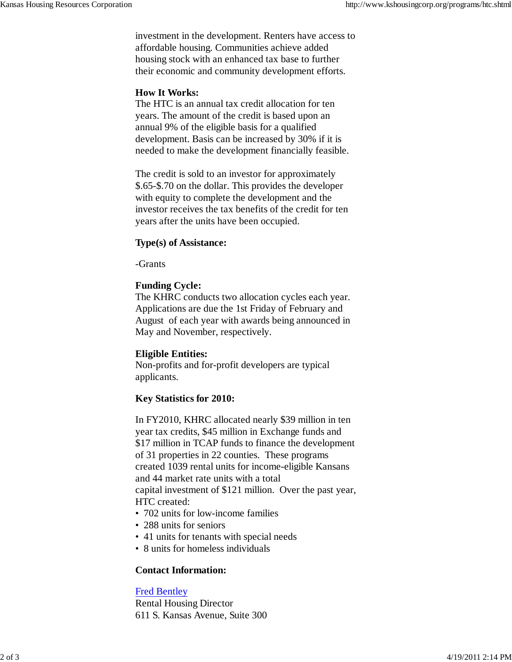investment in the development. Renters have access to affordable housing. Communities achieve added housing stock with an enhanced tax base to further their economic and community development efforts.

# **How It Works:**

The HTC is an annual tax credit allocation for ten years. The amount of the credit is based upon an annual 9% of the eligible basis for a qualified development. Basis can be increased by 30% if it is needed to make the development financially feasible.

The credit is sold to an investor for approximately \$.65-\$.70 on the dollar. This provides the developer with equity to complete the development and the investor receives the tax benefits of the credit for ten years after the units have been occupied.

#### **Type(s) of Assistance:**

-Grants

#### **Funding Cycle:**

The KHRC conducts two allocation cycles each year. Applications are due the 1st Friday of February and August of each year with awards being announced in May and November, respectively.

#### **Eligible Entities:**

Non-profits and for-profit developers are typical applicants.

# **Key Statistics for 2010:**

In FY2010, KHRC allocated nearly \$39 million in ten year tax credits, \$45 million in Exchange funds and \$17 million in TCAP funds to finance the development of 31 properties in 22 counties. These programs created 1039 rental units for income-eligible Kansans and 44 market rate units with a total capital investment of \$121 million. Over the past year, HTC created:

- 702 units for low-income families
- 288 units for seniors
- 41 units for tenants with special needs
- 8 units for homeless individuals

# **Contact Information:**

# Fred Bentley

Rental Housing Director 611 S. Kansas Avenue, Suite 300